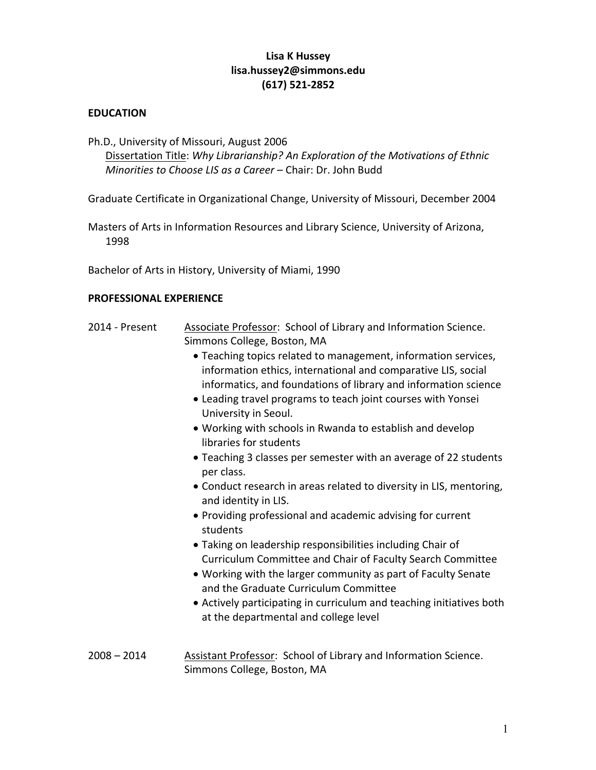### **Lisa K Hussey [lisa.hussey2@simmons.edu](mailto:lisa.hussey2@simmons.edu) (617) 521-2852**

#### **EDUCATION**

 Ph.D., University of Missouri, August 2006  Dissertation Title: *Why Librarianship? An Exploration of the Motivations of Ethnic Minorities to Choose LIS as a Career* – Chair: Dr. John Budd

Graduate Certificate in Organizational Change, University of Missouri, December 2004

 Masters of Arts in Information Resources and Library Science, University of Arizona, 1998

Bachelor of Arts in History, University of Miami, 1990

#### **PROFESSIONAL EXPERIENCE**

- 2014 Present Simmons College, Boston, MA Associate Professor: School of Library and Information Science.
	- • Teaching topics related to management, information services, information ethics, international and comparative LIS, social informatics, and foundations of library and information science
	- • Leading travel programs to teach joint courses with Yonsei University in Seoul.
	- • Working with schools in Rwanda to establish and develop libraries for students
	- • Teaching 3 classes per semester with an average of 22 students per class.
	- • Conduct research in areas related to diversity in LIS, mentoring, and identity in LIS.
	- • Providing professional and academic advising for current students
	- • Taking on leadership responsibilities including Chair of Curriculum Committee and Chair of Faculty Search Committee
	- • Working with the larger community as part of Faculty Senate and the Graduate Curriculum Committee
	- • Actively participating in curriculum and teaching initiatives both at the departmental and college level
- $2008 2014$  Simmons College, Boston, MA Assistant Professor: School of Library and Information Science.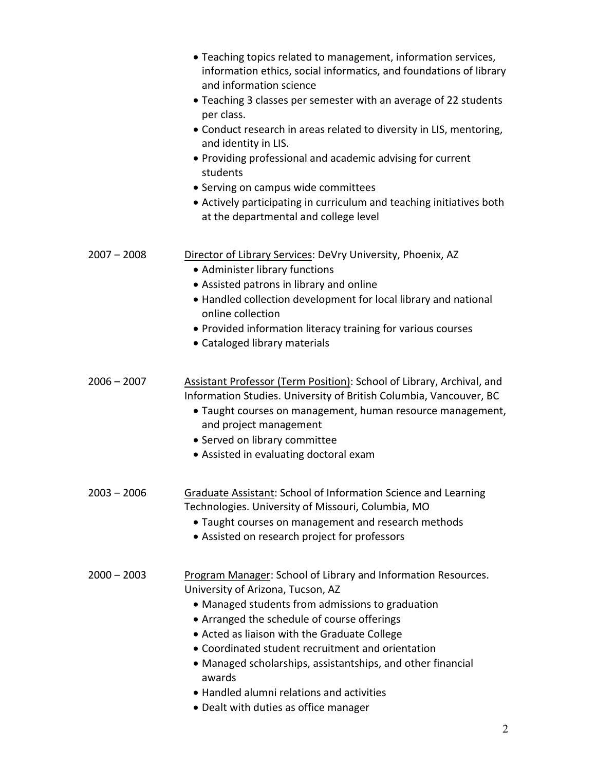|               | • Teaching topics related to management, information services,<br>information ethics, social informatics, and foundations of library<br>and information science<br>• Teaching 3 classes per semester with an average of 22 students<br>per class.<br>• Conduct research in areas related to diversity in LIS, mentoring,<br>and identity in LIS.<br>• Providing professional and academic advising for current<br>students<br>• Serving on campus wide committees<br>• Actively participating in curriculum and teaching initiatives both<br>at the departmental and college level |
|---------------|------------------------------------------------------------------------------------------------------------------------------------------------------------------------------------------------------------------------------------------------------------------------------------------------------------------------------------------------------------------------------------------------------------------------------------------------------------------------------------------------------------------------------------------------------------------------------------|
| $2007 - 2008$ | Director of Library Services: DeVry University, Phoenix, AZ<br>• Administer library functions<br>• Assisted patrons in library and online<br>• Handled collection development for local library and national<br>online collection<br>• Provided information literacy training for various courses<br>• Cataloged library materials                                                                                                                                                                                                                                                 |
| $2006 - 2007$ | Assistant Professor (Term Position): School of Library, Archival, and<br>Information Studies. University of British Columbia, Vancouver, BC<br>• Taught courses on management, human resource management,<br>and project management<br>• Served on library committee<br>• Assisted in evaluating doctoral exam                                                                                                                                                                                                                                                                     |
| $2003 - 2006$ | Graduate Assistant: School of Information Science and Learning<br>Technologies. University of Missouri, Columbia, MO<br>· Taught courses on management and research methods<br>• Assisted on research project for professors                                                                                                                                                                                                                                                                                                                                                       |
| $2000 - 2003$ | Program Manager: School of Library and Information Resources.<br>University of Arizona, Tucson, AZ<br>• Managed students from admissions to graduation<br>• Arranged the schedule of course offerings<br>• Acted as liaison with the Graduate College<br>• Coordinated student recruitment and orientation<br>• Managed scholarships, assistantships, and other financial<br>awards<br>• Handled alumni relations and activities<br>• Dealt with duties as office manager                                                                                                          |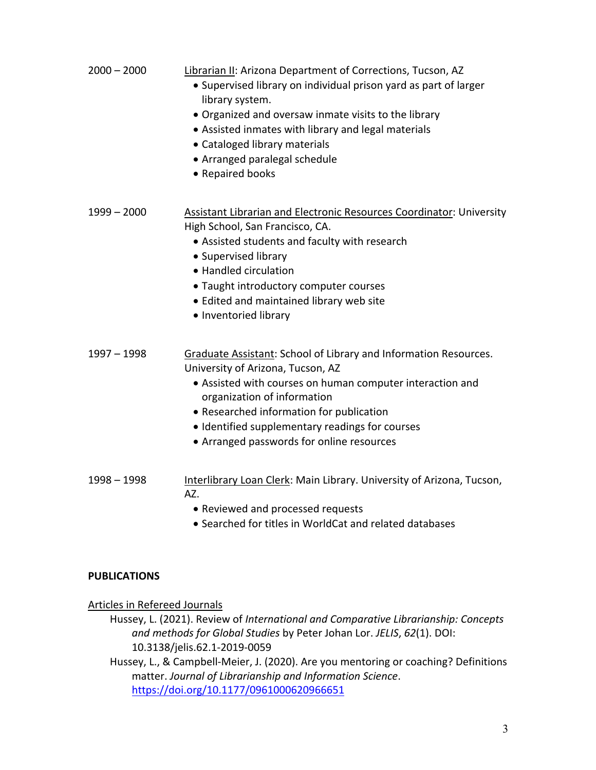| $2000 - 2000$       | Librarian II: Arizona Department of Corrections, Tucson, AZ<br>• Supervised library on individual prison yard as part of larger<br>library system.<br>• Organized and oversaw inmate visits to the library<br>• Assisted inmates with library and legal materials<br>• Cataloged library materials<br>• Arranged paralegal schedule<br>• Repaired books |
|---------------------|---------------------------------------------------------------------------------------------------------------------------------------------------------------------------------------------------------------------------------------------------------------------------------------------------------------------------------------------------------|
| $1999 - 2000$       | Assistant Librarian and Electronic Resources Coordinator: University<br>High School, San Francisco, CA.<br>• Assisted students and faculty with research<br>• Supervised library<br>• Handled circulation<br>• Taught introductory computer courses<br>• Edited and maintained library web site<br>• Inventoried library                                |
| $1997 - 1998$       | Graduate Assistant: School of Library and Information Resources.<br>University of Arizona, Tucson, AZ<br>• Assisted with courses on human computer interaction and<br>organization of information<br>• Researched information for publication<br>• Identified supplementary readings for courses<br>• Arranged passwords for online resources           |
| $1998 - 1998$       | Interlibrary Loan Clerk: Main Library. University of Arizona, Tucson,<br>AZ.<br>• Reviewed and processed requests<br>• Searched for titles in WorldCat and related databases                                                                                                                                                                            |
| <b>PUBLICATIONS</b> |                                                                                                                                                                                                                                                                                                                                                         |

Articles in Refereed Journals

 Hussey, L. (2021). Review of *International and Comparative Librarianship: Concepts and methods for Global Studies* by Peter Johan Lor. *JELIS*, *62*(1). DOI: 10.3138/jelis.62.1-2019-0059

 10.3138/jelis.62.1-2019-0059 Hussey, L., & Campbell-Meier, J. (2020). Are you mentoring or coaching? Definitions  matter. *Journal of Librarianship and Information Science*. <https://doi.org/10.1177/0961000620966651>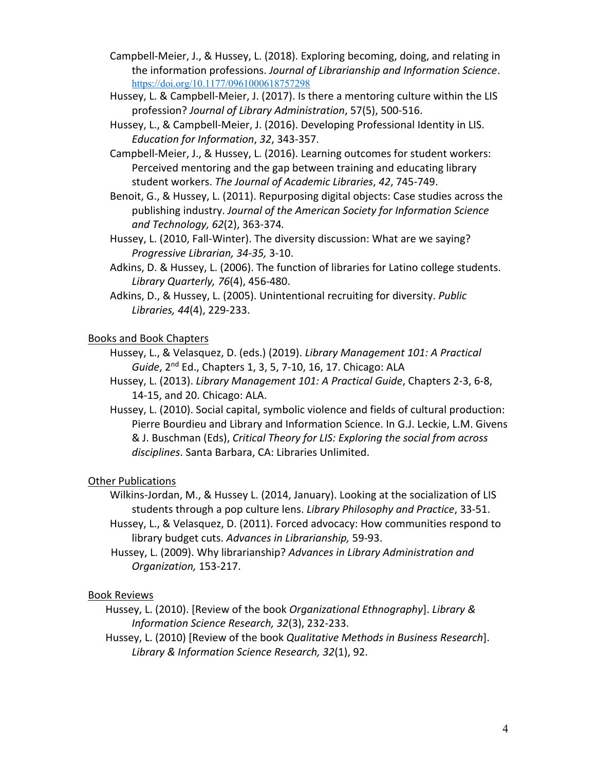- Campbell-Meier, J., & Hussey, L. (2018). Exploring becoming, doing, and relating in the information professions. *Journal of Librarianship and Information Science*. <https://doi.org/10.1177/0961000618757298>
- Hussey, L. & Campbell-Meier, J. (2017). Is there a mentoring culture within the LIS  profession? *Journal of Library Administration*, 57(5), 500-516.
- Hussey, L., & Campbell-Meier, J. (2016). Developing Professional Identity in LIS.  *Education for Information*, *32*, 343-357.
- Campbell-Meier, J., & Hussey, L. (2016). Learning outcomes for student workers: Perceived mentoring and the gap between training and educating library  student workers. *The Journal of Academic Libraries*, *42*, 745-749.
- Benoit, G., & Hussey, L. (2011). Repurposing digital objects: Case studies across the publishing industry. *Journal of the American Society for Information Science and Technology, 62*(2), 363-374*.*
- Hussey, L. (2010, Fall-Winter). The diversity discussion: What are we saying? *Progressive Librarian, 34-35,* 3-10.
- Adkins, D. & Hussey, L. (2006). The function of libraries for Latino college students.  *Library Quarterly, 76*(4), 456-480.
- Adkins, D., & Hussey, L. (2005). Unintentional recruiting for diversity. *Public Libraries, 44*(4), 229-233.

## Books and Book Chapters

- Hussey, L., & Velasquez, D. (eds.) (2019). *Library Management 101: A Practical Guide*, 2nd Ed., Chapters 1, 3, 5, 7-10, 16, 17. Chicago: ALA
- Hussey, L. (2013). *Library Management 101: A Practical Guide*, Chapters 2-3, 6-8, 14-15, and 20. Chicago: ALA.
- Hussey, L. (2010). Social capital, symbolic violence and fields of cultural production: Pierre Bourdieu and Library and Information Science. In G.J. Leckie, L.M. Givens & J. Buschman (Eds), *Critical Theory for LIS: Exploring the social from across disciplines*. Santa Barbara, CA: Libraries Unlimited.

# **Other Publications**

- Wilkins-Jordan, M., & Hussey L. (2014, January). Looking at the socialization of LIS students through a pop culture lens. *Library Philosophy and Practice*, 33-51.
- Hussey, L., & Velasquez, D. (2011). Forced advocacy: How communities respond to  library budget cuts. *Advances in Librarianship,* 59-93.
- *Organization,* 153-217. Hussey, L. (2009). Why librarianship? *Advances in Library Administration and*

### Book Reviews

- Hussey, L. (2010). [Review of the book *Organizational Ethnography*]. *Library & Information Science Research, 32*(3), 232-233.
- Hussey, L. (2010) [Review of the book *Qualitative Methods in Business Research*].  *Library & Information Science Research, 32*(1), 92.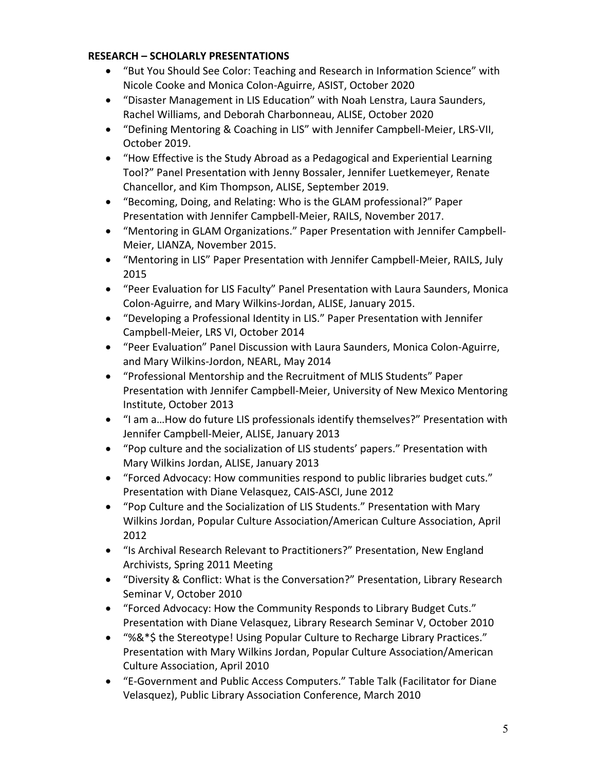#### **RESEARCH – SCHOLARLY PRESENTATIONS**

- • "But You Should See Color: Teaching and Research in Information Science" with Nicole Cooke and Monica Colon-Aguirre, ASIST, October 2020
- • "Disaster Management in LIS Education" with Noah Lenstra, Laura Saunders, Rachel Williams, and Deborah Charbonneau, ALISE, October 2020
- • "Defining Mentoring & Coaching in LIS" with Jennifer Campbell-Meier, LRS-VII, October 2019.
- • "How Effective is the Study Abroad as a Pedagogical and Experiential Learning Tool?" Panel Presentation with Jenny Bossaler, Jennifer Luetkemeyer, Renate Chancellor, and Kim Thompson, ALISE, September 2019.
- • "Becoming, Doing, and Relating: Who is the GLAM professional?" Paper Presentation with Jennifer Campbell-Meier, RAILS, November 2017.
- • "Mentoring in GLAM Organizations." Paper Presentation with Jennifer Campbell-Meier, LIANZA, November 2015.
- • "Mentoring in LIS" Paper Presentation with Jennifer Campbell-Meier, RAILS, July 2015
- • "Peer Evaluation for LIS Faculty" Panel Presentation with Laura Saunders, Monica Colon-Aguirre, and Mary Wilkins-Jordan, ALISE, January 2015.
- • "Developing a Professional Identity in LIS." Paper Presentation with Jennifer Campbell-Meier, LRS VI, October 2014
- • "Peer Evaluation" Panel Discussion with Laura Saunders, Monica Colon-Aguirre, and Mary Wilkins-Jordon, NEARL, May 2014
- • "Professional Mentorship and the Recruitment of MLIS Students" Paper Presentation with Jennifer Campbell-Meier, University of New Mexico Mentoring Institute, October 2013
- • "I am a…How do future LIS professionals identify themselves?" Presentation with Jennifer Campbell-Meier, ALISE, January 2013
- • "Pop culture and the socialization of LIS students' papers." Presentation with Mary Wilkins Jordan, ALISE, January 2013
- • "Forced Advocacy: How communities respond to public libraries budget cuts." Presentation with Diane Velasquez, CAIS-ASCI, June 2012
- • "Pop Culture and the Socialization of LIS Students." Presentation with Mary Wilkins Jordan, Popular Culture Association/American Culture Association, April 2012
- • "Is Archival Research Relevant to Practitioners?" Presentation, New England Archivists, Spring 2011 Meeting
- • "Diversity & Conflict: What is the Conversation?" Presentation, Library Research Seminar V, October 2010
- • "Forced Advocacy: How the Community Responds to Library Budget Cuts." Presentation with Diane Velasquez, Library Research Seminar V, October 2010
- • "%&\*\$ the Stereotype! Using Popular Culture to Recharge Library Practices." Presentation with Mary Wilkins Jordan, Popular Culture Association/American Culture Association, April 2010
- • "E-Government and Public Access Computers." Table Talk (Facilitator for Diane Velasquez), Public Library Association Conference, March 2010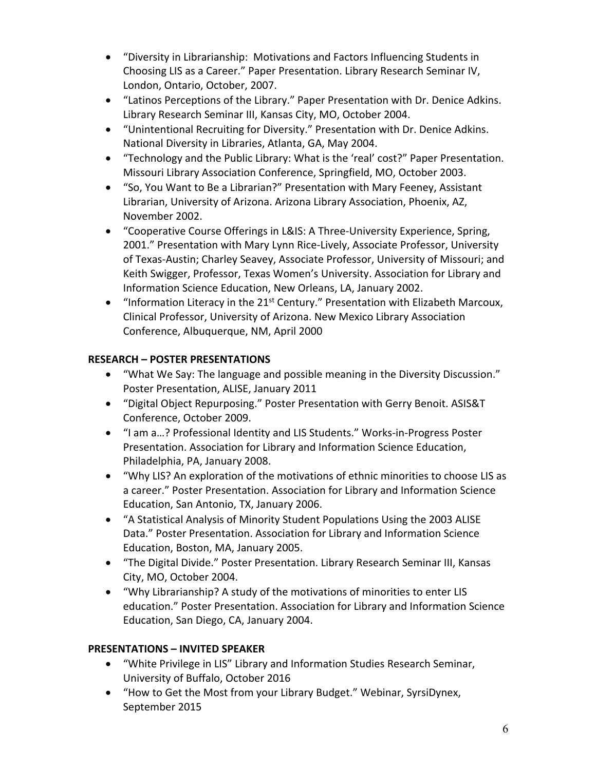- • "Diversity in Librarianship: Motivations and Factors Influencing Students in Choosing LIS as a Career." Paper Presentation. Library Research Seminar IV, London, Ontario, October, 2007.
- • "Latinos Perceptions of the Library." Paper Presentation with Dr. Denice Adkins. Library Research Seminar III, Kansas City, MO, October 2004.
- • "Unintentional Recruiting for Diversity." Presentation with Dr. Denice Adkins. National Diversity in Libraries, Atlanta, GA, May 2004.
- • "Technology and the Public Library: What is the 'real' cost?" Paper Presentation. Missouri Library Association Conference, Springfield, MO, October 2003.
- • "So, You Want to Be a Librarian?" Presentation with Mary Feeney, Assistant Librarian, University of Arizona. Arizona Library Association, Phoenix, AZ, November 2002.
- • "Cooperative Course Offerings in L&IS: A Three-University Experience, Spring, 2001." Presentation with Mary Lynn Rice-Lively, Associate Professor, University of Texas-Austin; Charley Seavey, Associate Professor, University of Missouri; and Keith Swigger, Professor, Texas Women's University. Association for Library and Information Science Education, New Orleans, LA, January 2002.
- "Information Literacy in the 21<sup>st</sup> Century." Presentation with Elizabeth Marcoux, Clinical Professor, University of Arizona. New Mexico Library Association Conference, Albuquerque, NM, April 2000

# **RESEARCH – POSTER PRESENTATIONS**

- • "What We Say: The language and possible meaning in the Diversity Discussion." Poster Presentation, ALISE, January 2011
- • "Digital Object Repurposing." Poster Presentation with Gerry Benoit. ASIS&T Conference, October 2009.
- • "I am a…? Professional Identity and LIS Students." Works-in-Progress Poster Presentation. Association for Library and Information Science Education, Philadelphia, PA, January 2008.
- • "Why LIS? An exploration of the motivations of ethnic minorities to choose LIS as a career." Poster Presentation. Association for Library and Information Science Education, San Antonio, TX, January 2006.
- • "A Statistical Analysis of Minority Student Populations Using the 2003 ALISE Data." Poster Presentation. Association for Library and Information Science Education, Boston, MA, January 2005.
- • "The Digital Divide." Poster Presentation. Library Research Seminar III, Kansas City, MO, October 2004.
- • "Why Librarianship? A study of the motivations of minorities to enter LIS education." Poster Presentation. Association for Library and Information Science Education, San Diego, CA, January 2004.

### **PRESENTATIONS – INVITED SPEAKER**

- • "White Privilege in LIS" Library and Information Studies Research Seminar, University of Buffalo, October 2016
- • "How to Get the Most from your Library Budget." Webinar, SyrsiDynex, September 2015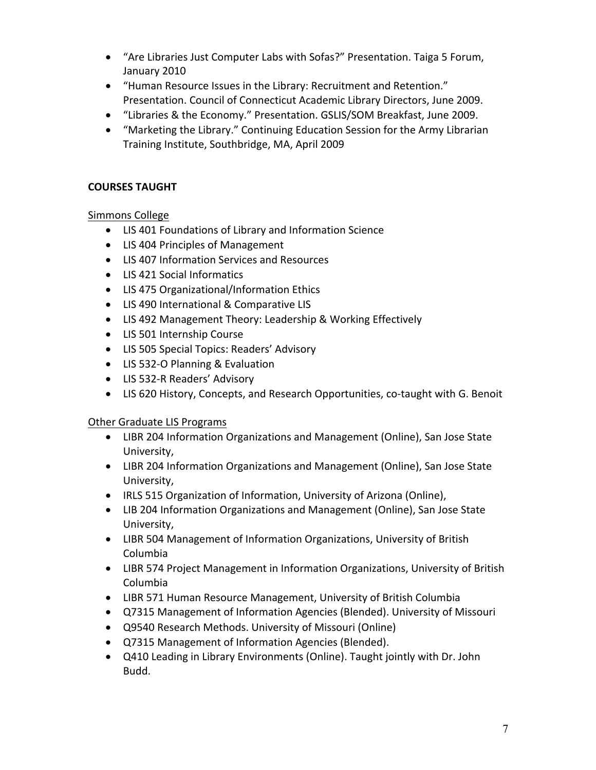- • "Are Libraries Just Computer Labs with Sofas?" Presentation. Taiga 5 Forum, January 2010
- • "Human Resource Issues in the Library: Recruitment and Retention." Presentation. Council of Connecticut Academic Library Directors, June 2009.
- "Libraries & the Economy." Presentation. GSLIS/SOM Breakfast, June 2009.
- • "Marketing the Library." Continuing Education Session for the Army Librarian Training Institute, Southbridge, MA, April 2009

# **COURSES TAUGHT**

## Simmons College

- LIS 401 Foundations of Library and Information Science
- LIS 404 Principles of Management
- LIS 407 Information Services and Resources
- LIS 421 Social Informatics
- LIS 475 Organizational/Information Ethics
- LIS 490 International & Comparative LIS
- LIS 492 Management Theory: Leadership & Working Effectively
- LIS 501 Internship Course
- LIS 505 Special Topics: Readers' Advisory
- LIS 532-O Planning & Evaluation
- LIS 532-R Readers' Advisory
- LIS 620 History, Concepts, and Research Opportunities, co-taught with G. Benoit

### **Other Graduate LIS Programs**

- • LIBR 204 Information Organizations and Management (Online), San Jose State University,
- • LIBR 204 Information Organizations and Management (Online), San Jose State University,
- IRLS 515 Organization of Information, University of Arizona (Online),
- • LIB 204 Information Organizations and Management (Online), San Jose State University,
- • LIBR 504 Management of Information Organizations, University of British Columbia
- • LIBR 574 Project Management in Information Organizations, University of British Columbia
- LIBR 571 Human Resource Management, University of British Columbia
- Q7315 Management of Information Agencies (Blended). University of Missouri
- Q9540 Research Methods. University of Missouri (Online)
- Q7315 Management of Information Agencies (Blended).
- • Q410 Leading in Library Environments (Online). Taught jointly with Dr. John Budd.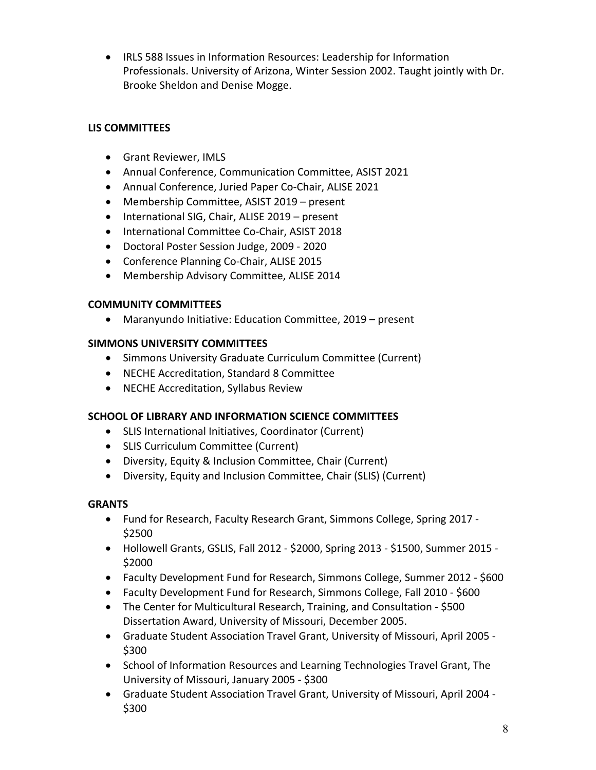• IRLS 588 Issues in Information Resources: Leadership for Information Professionals. University of Arizona, Winter Session 2002. Taught jointly with Dr. Brooke Sheldon and Denise Mogge.

# **LIS COMMITTEES**

- Grant Reviewer, IMLS
- Annual Conference, Communication Committee, ASIST 2021
- Annual Conference, Juried Paper Co-Chair, ALISE 2021
- Membership Committee, ASIST 2019 present
- International SIG, Chair, ALISE 2019 present
- International Committee Co-Chair, ASIST 2018
- Doctoral Poster Session Judge, 2009 2020
- Conference Planning Co-Chair, ALISE 2015
- Membership Advisory Committee, ALISE 2014

#### **COMMUNITY COMMITTEES**

• Maranyundo Initiative: Education Committee, 2019 – present

### **SIMMONS UNIVERSITY COMMITTEES**

- Simmons University Graduate Curriculum Committee (Current)
- NECHE Accreditation, Standard 8 Committee
- NECHE Accreditation, Syllabus Review

### **SCHOOL OF LIBRARY AND INFORMATION SCIENCE COMMITTEES**

- SLIS International Initiatives, Coordinator (Current)
- SLIS Curriculum Committee (Current)
- Diversity, Equity & Inclusion Committee, Chair (Current)
- Diversity, Equity and Inclusion Committee, Chair (SLIS) (Current)

### **GRANTS**

- • Fund for Research, Faculty Research Grant, Simmons College, Spring 2017 \$2500
- • Hollowell Grants, GSLIS, Fall 2012 \$2000, Spring 2013 \$1500, Summer 2015 \$2000
- Faculty Development Fund for Research, Simmons College, Summer 2012 \$600
- Faculty Development Fund for Research, Simmons College, Fall 2010 \$600
- • The Center for Multicultural Research, Training, and Consultation \$500 Dissertation Award, University of Missouri, December 2005.
- • Graduate Student Association Travel Grant, University of Missouri, April 2005 \$300
- • School of Information Resources and Learning Technologies Travel Grant, The University of Missouri, January 2005 - \$300
- • Graduate Student Association Travel Grant, University of Missouri, April 2004 \$300